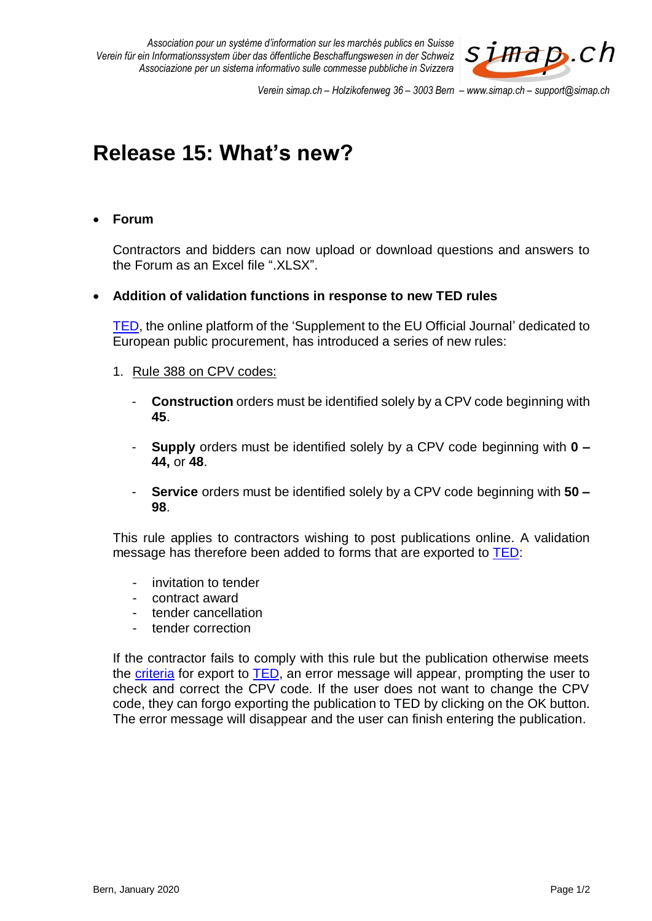*Association pour un système d'information sur les marchés publics en Suisse Verein für ein Informationssystem über das öffentliche Beschaffungswesen in der Schweiz Associazione per un sistema informativo sulle commesse pubbliche in Svizzera*



*Verein simap.ch – Holzikofenweg 36 – 3003 Bern – www.simap.ch – support@simap.ch*

# **Release 15: What's new?**

# **Forum**

Contractors and bidders can now upload or download questions and answers to the Forum as an Excel file ".XLSX".

## **Addition of validation functions in response to new TED rules**

[TED,](https://ted.europa.eu/) the online platform of the 'Supplement to the EU Official Journal' dedicated to European public procurement, has introduced a series of new rules:

#### 1. Rule 388 on CPV codes:

- **Construction** orders must be identified solely by a CPV code beginning with **45**.
- **Supply** orders must be identified solely by a CPV code beginning with **0 – 44,** or **48**.
- **Service** orders must be identified solely by a CPV code beginning with **50 – 98**.

This rule applies to contractors wishing to post publications online. A validation message has therefore been added to forms that are exported to [TED:](https://ted.europa.eu/)

- invitation to tender
- contract award
- tender cancellation
- tender correction

If the contractor fails to comply with this rule but the publication otherwise meets the [criteria](https://www.simap.ch/shabforms/online-help/publication/de/PreBeschaffer/help.html) for export to [TED,](https://ted.europa.eu/) an error message will appear, prompting the user to check and correct the CPV code. If the user does not want to change the CPV code, they can forgo exporting the publication to TED by clicking on the OK button. The error message will disappear and the user can finish entering the publication.